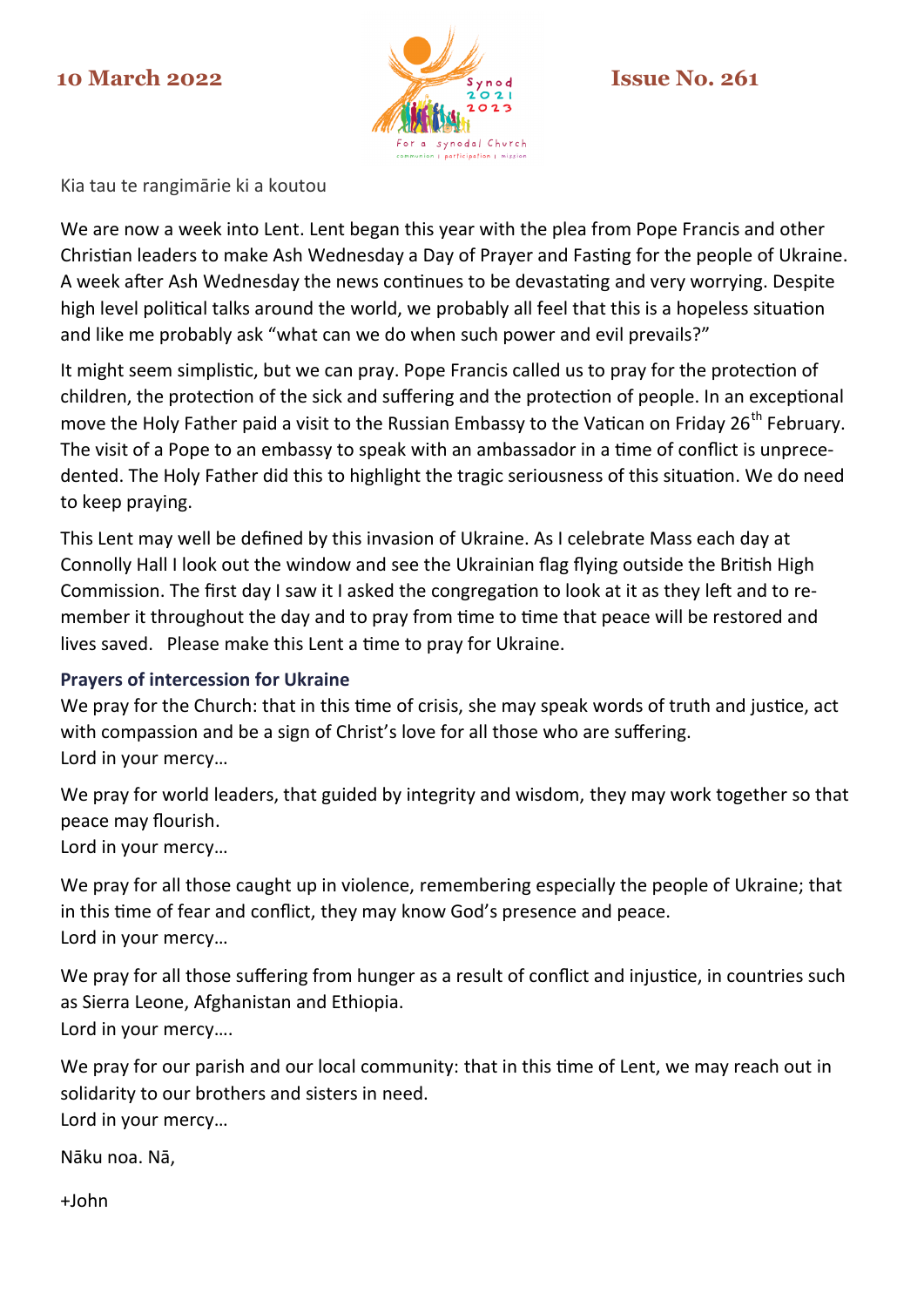

Kia tau te rangimārie ki a koutou

We are now a week into Lent. Lent began this year with the plea from Pope Francis and other Christian leaders to make Ash Wednesday a Day of Prayer and Fasting for the people of Ukraine. A week after Ash Wednesday the news continues to be devastating and very worrying. Despite high level political talks around the world, we probably all feel that this is a hopeless situation and like me probably ask "what can we do when such power and evil prevails?"

It might seem simplistic, but we can pray. Pope Francis called us to pray for the protection of children, the protection of the sick and suffering and the protection of people. In an exceptional move the Holy Father paid a visit to the Russian Embassy to the Vatican on Friday 26<sup>th</sup> February. The visit of a Pope to an embassy to speak with an ambassador in a time of conflict is unprecedented. The Holy Father did this to highlight the tragic seriousness of this situation. We do need to keep praying.

This Lent may well be defined by this invasion of Ukraine. As I celebrate Mass each day at Connolly Hall I look out the window and see the Ukrainian flag flying outside the British High Commission. The first day I saw it I asked the congregation to look at it as they left and to remember it throughout the day and to pray from time to time that peace will be restored and lives saved. Please make this Lent a time to pray for Ukraine.

# **Prayers of intercession for Ukraine**

We pray for the Church: that in this time of crisis, she may speak words of truth and justice, act with compassion and be a sign of Christ's love for all those who are suffering. Lord in your mercy…

We pray for world leaders, that guided by integrity and wisdom, they may work together so that peace may flourish.

Lord in your mercy…

We pray for all those caught up in violence, remembering especially the people of Ukraine; that in this time of fear and conflict, they may know God's presence and peace. Lord in your mercy…

We pray for all those suffering from hunger as a result of conflict and injustice, in countries such as Sierra Leone, Afghanistan and Ethiopia. Lord in your mercy….

We pray for our parish and our local community: that in this time of Lent, we may reach out in solidarity to our brothers and sisters in need. Lord in your mercy…

Nāku noa. Nā,

+John